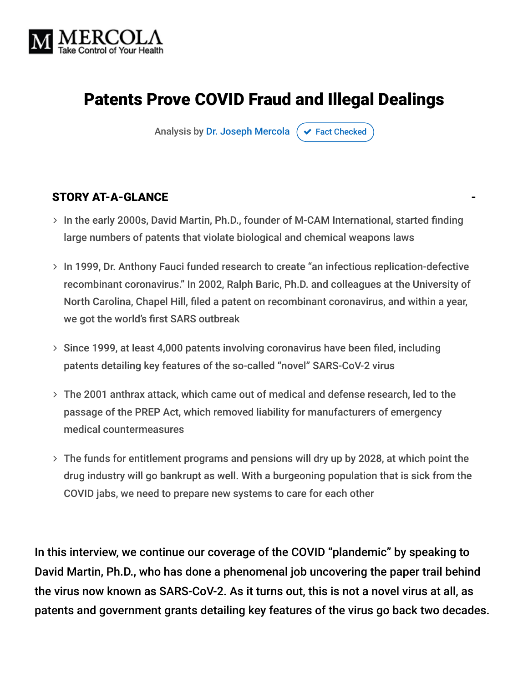

# Patents Prove COVID Fraud and Illegal Dealings

Analysis by [Dr. Joseph Mercola](https://www.mercola.com/forms/background.htm)  $\sigma$  [Fact Checked](javascript:void(0))

#### STORY AT-A-GLANCE

- > In the early 2000s, David Martin, Ph.D., founder of M-CAM International, started finding large numbers of patents that violate biological and chemical weapons laws
- > In 1999, Dr. Anthony Fauci funded research to create "an infectious replication-defective recombinant coronavirus." In 2002, Ralph Baric, Ph.D. and colleagues at the University of North Carolina, Chapel Hill, filed a patent on recombinant coronavirus, and within a year, we got the world's first SARS outbreak
- > Since 1999, at least 4,000 patents involving coronavirus have been filed, including patents detailing key features of the so-called "novel" SARS-CoV-2 virus
- The 2001 anthrax attack, which came out of medical and defense research, led to the passage of the PREP Act, which removed liability for manufacturers of emergency medical countermeasures
- The funds for entitlement programs and pensions will dry up by 2028, at which point the drug industry will go bankrupt as well. With a burgeoning population that is sick from the COVID jabs, we need to prepare new systems to care for each other

In this interview, we continue our coverage of the COVID "plandemic" by speaking to David Martin, Ph.D., who has done a phenomenal job uncovering the paper trail behind the virus now known as SARS-CoV-2. As it turns out, this is not a novel virus at all, as patents and government grants detailing key features of the virus go back two decades.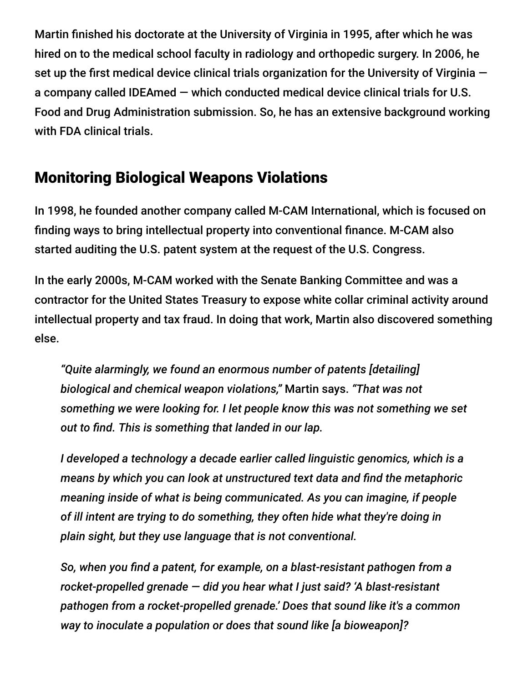Martin finished his doctorate at the University of Virginia in 1995, after which he was hired on to the medical school faculty in radiology and orthopedic surgery. In 2006, he set up the first medical device clinical trials organization for the University of Virginia  $$ a company called IDEAmed — which conducted medical device clinical trials for U.S. Food and Drug Administration submission. So, he has an extensive background working with FDA clinical trials.

## Monitoring Biological Weapons Violations

In 1998, he founded another company called M-CAM International, which is focused on finding ways to bring intellectual property into conventional finance. M-CAM also started auditing the U.S. patent system at the request of the U.S. Congress.

In the early 2000s, M-CAM worked with the Senate Banking Committee and was a contractor for the United States Treasury to expose white collar criminal activity around intellectual property and tax fraud. In doing that work, Martin also discovered something else.

*"Quite alarmingly, we found an enormous number of patents [detailing] biological and chemical weapon violations,"* Martin says. *"That was not something we were looking for. I let people know this was not something we set out to find. This is something that landed in our lap.*

*I developed a technology a decade earlier called linguistic genomics, which is a means by which you can look at unstructured text data and find the metaphoric meaning inside of what is being communicated. As you can imagine, if people of ill intent are trying to do something, they often hide what they're doing in plain sight, but they use language that is not conventional.*

*So, when you find a patent, for example, on a blast-resistant pathogen from a rocket-propelled grenade — did you hear what I just said? 'A blast-resistant pathogen from a rocket-propelled grenade.' Does that sound like it's a common way to inoculate a population or does that sound like [a bioweapon]?*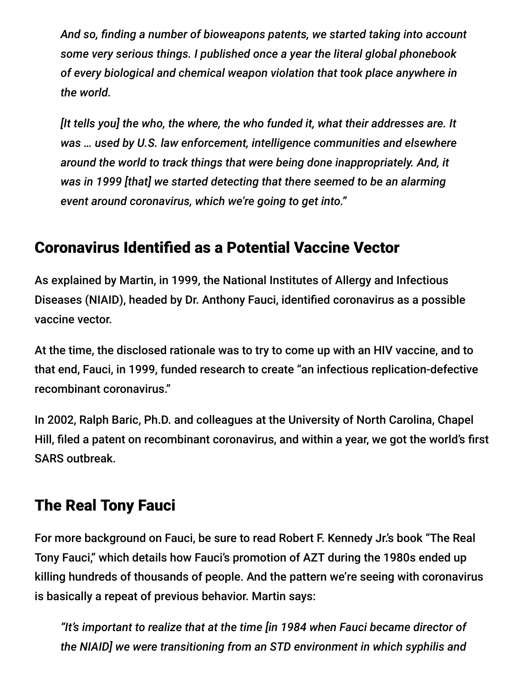*And so, finding a number of bioweapons patents, we started taking into account some very serious things. I published once a year the literal global phonebook of every biological and chemical weapon violation that took place anywhere in the world.*

*[It tells you] the who, the where, the who funded it, what their addresses are. It was … used by U.S. law enforcement, intelligence communities and elsewhere around the world to track things that were being done inappropriately. And, it was in 1999 [that] we started detecting that there seemed to be an alarming event around coronavirus, which we're going to get into."*

## Coronavirus Identified as a Potential Vaccine Vector

As explained by Martin, in 1999, the National Institutes of Allergy and Infectious Diseases (NIAID), headed by Dr. Anthony Fauci, identified coronavirus as a possible vaccine vector.

At the time, the disclosed rationale was to try to come up with an HIV vaccine, and to that end, Fauci, in 1999, funded research to create "an infectious replication-defective recombinant coronavirus."

In 2002, Ralph Baric, Ph.D. and colleagues at the University of North Carolina, Chapel Hill, filed a patent on recombinant coronavirus, and within a year, we got the world's first SARS outbreak.

# The Real Tony Fauci

For more background on Fauci, be sure to read Robert F. Kennedy Jr.'s book "The Real Tony Fauci," which details how Fauci's promotion of AZT during the 1980s ended up killing hundreds of thousands of people. And the pattern we're seeing with coronavirus is basically a repeat of previous behavior. Martin says:

*"It's important to realize that at the time [in 1984 when Fauci became director of the NIAID] we were transitioning from an STD environment in which syphilis and*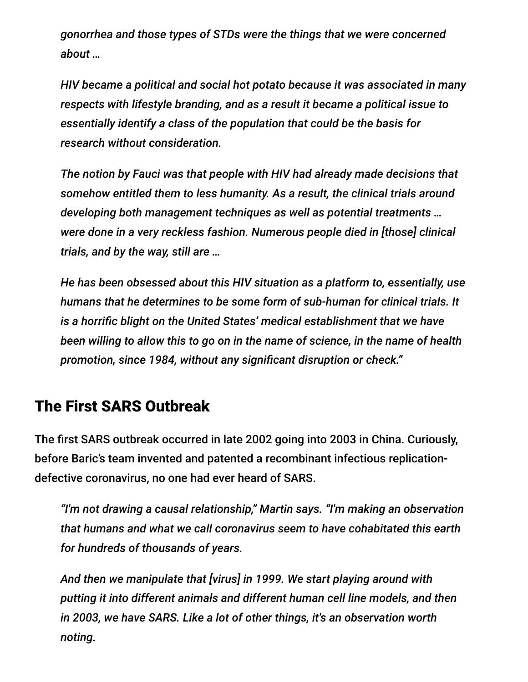*gonorrhea and those types of STDs were the things that we were concerned about …*

*HIV became a political and social hot potato because it was associated in many respects with lifestyle branding, and as a result it became a political issue to essentially identify a class of the population that could be the basis for research without consideration.*

*The notion by Fauci was that people with HIV had already made decisions that somehow entitled them to less humanity. As a result, the clinical trials around developing both management techniques as well as potential treatments … were done in a very reckless fashion. Numerous people died in [those] clinical trials, and by the way, still are …*

*He has been obsessed about this HIV situation as a platform to, essentially, use humans that he determines to be some form of sub-human for clinical trials. It is a horrific blight on the United States' medical establishment that we have been willing to allow this to go on in the name of science, in the name of health promotion, since 1984, without any significant disruption or check."*

#### The First SARS Outbreak

The first SARS outbreak occurred in late 2002 going into 2003 in China. Curiously, before Baric's team invented and patented a recombinant infectious replicationdefective coronavirus, no one had ever heard of SARS.

*"I'm not drawing a causal relationship," Martin says. "I'm making an observation that humans and what we call coronavirus seem to have cohabitated this earth for hundreds of thousands of years.*

*And then we manipulate that [virus] in 1999. We start playing around with putting it into different animals and different human cell line models, and then in 2003, we have SARS. Like a lot of other things, it's an observation worth noting.*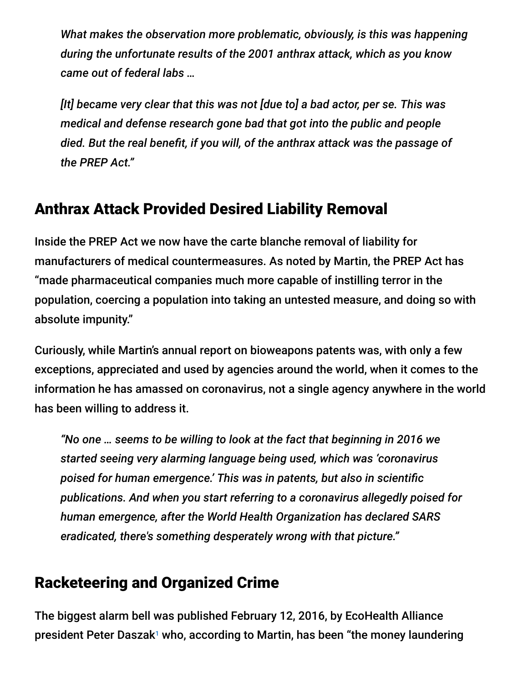*What makes the observation more problematic, obviously, is this was happening during the unfortunate results of the 2001 anthrax attack, which as you know came out of federal labs …*

*[It] became very clear that this was not [due to] a bad actor, per se. This was medical and defense research gone bad that got into the public and people died. But the real benefit, if you will, of the anthrax attack was the passage of the PREP Act."*

## Anthrax Attack Provided Desired Liability Removal

Inside the PREP Act we now have the carte blanche removal of liability for manufacturers of medical countermeasures. As noted by Martin, the PREP Act has "made pharmaceutical companies much more capable of instilling terror in the population, coercing a population into taking an untested measure, and doing so with absolute impunity."

Curiously, while Martin's annual report on bioweapons patents was, with only a few exceptions, appreciated and used by agencies around the world, when it comes to the information he has amassed on coronavirus, not a single agency anywhere in the world has been willing to address it.

*"No one … seems to be willing to look at the fact that beginning in 2016 we started seeing very alarming language being used, which was 'coronavirus poised for human emergence.' This was in patents, but also in scientific publications. And when you start referring to a coronavirus allegedly poised for human emergence, after the World Health Organization has declared SARS eradicated, there's something desperately wrong with that picture."*

# Racketeering and Organized Crime

The biggest alarm bell was published February 12, 2016, by EcoHealth Alliance president Peter Daszak<sup>1</sup> who, according to Martin, has been "the money laundering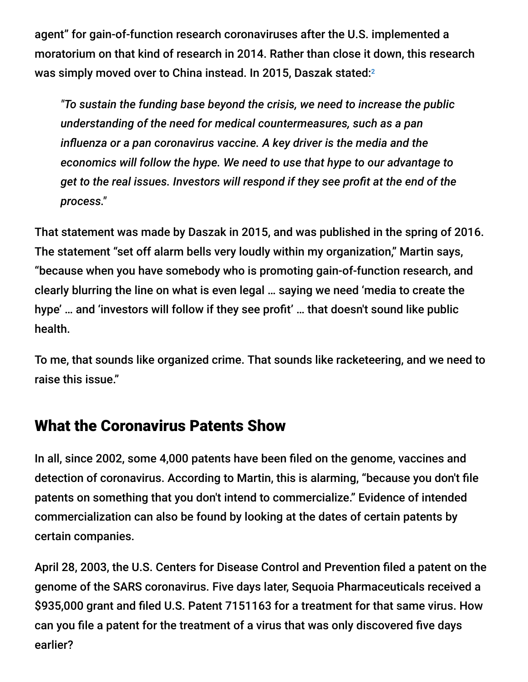agent" for gain-of-function research coronaviruses after the U.S. implemented a moratorium on that kind of research in 2014. Rather than close it down, this research was simply moved over to China instead. In 2015, Daszak stated: $^{\rm 2}$ 

*"To sustain the funding base beyond the crisis, we need to increase the public understanding of the need for medical countermeasures, such as a pan influenza or a pan coronavirus vaccine. A key driver is the media and the economics will follow the hype. We need to use that hype to our advantage to get to the real issues. Investors will respond if they see profit at the end of the process."*

That statement was made by Daszak in 2015, and was published in the spring of 2016. The statement "set off alarm bells very loudly within my organization," Martin says, "because when you have somebody who is promoting gain-of-function research, and clearly blurring the line on what is even legal … saying we need 'media to create the hype' … and 'investors will follow if they see profit' … that doesn't sound like public health.

To me, that sounds like organized crime. That sounds like racketeering, and we need to raise this issue."

#### What the Coronavirus Patents Show

In all, since 2002, some 4,000 patents have been filed on the genome, vaccines and detection of coronavirus. According to Martin, this is alarming, "because you don't file patents on something that you don't intend to commercialize." Evidence of intended commercialization can also be found by looking at the dates of certain patents by certain companies.

April 28, 2003, the U.S. Centers for Disease Control and Prevention filed a patent on the genome of the SARS coronavirus. Five days later, Sequoia Pharmaceuticals received a \$935,000 grant and filed U.S. Patent 7151163 for a treatment for that same virus. How can you file a patent for the treatment of a virus that was only discovered five days earlier?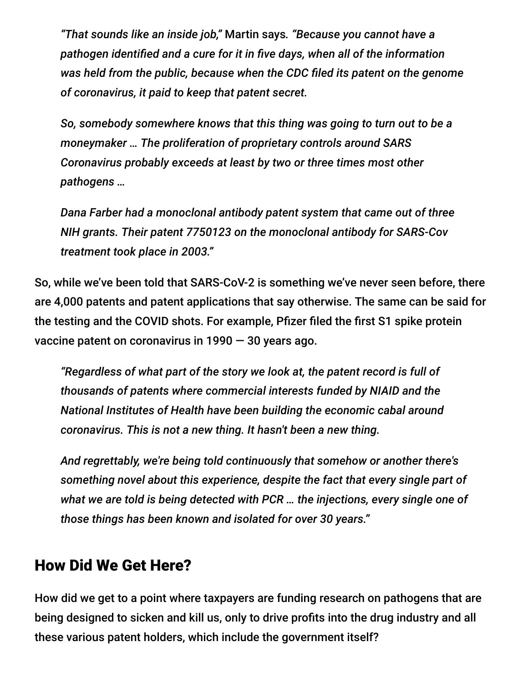*"That sounds like an inside job,"* Martin says*. "Because you cannot have a pathogen identified and a cure for it in five days, when all of the information was held from the public, because when the CDC filed its patent on the genome of coronavirus, it paid to keep that patent secret.*

*So, somebody somewhere knows that this thing was going to turn out to be a moneymaker … The proliferation of proprietary controls around SARS Coronavirus probably exceeds at least by two or three times most other pathogens …*

*Dana Farber had a monoclonal antibody patent system that came out of three NIH grants. Their patent 7750123 on the monoclonal antibody for SARS-Cov treatment took place in 2003."*

So, while we've been told that SARS-CoV-2 is something we've never seen before, there are 4,000 patents and patent applications that say otherwise. The same can be said for the testing and the COVID shots. For example, Pfizer filed the first S1 spike protein vaccine patent on coronavirus in 1990 — 30 years ago.

*"Regardless of what part of the story we look at, the patent record is full of thousands of patents where commercial interests funded by NIAID and the National Institutes of Health have been building the economic cabal around coronavirus. This is not a new thing. It hasn't been a new thing.*

*And regrettably, we're being told continuously that somehow or another there's something novel about this experience, despite the fact that every single part of what we are told is being detected with PCR … the injections, every single one of those things has been known and isolated for over 30 years."*

#### How Did We Get Here?

How did we get to a point where taxpayers are funding research on pathogens that are being designed to sicken and kill us, only to drive profits into the drug industry and all these various patent holders, which include the government itself?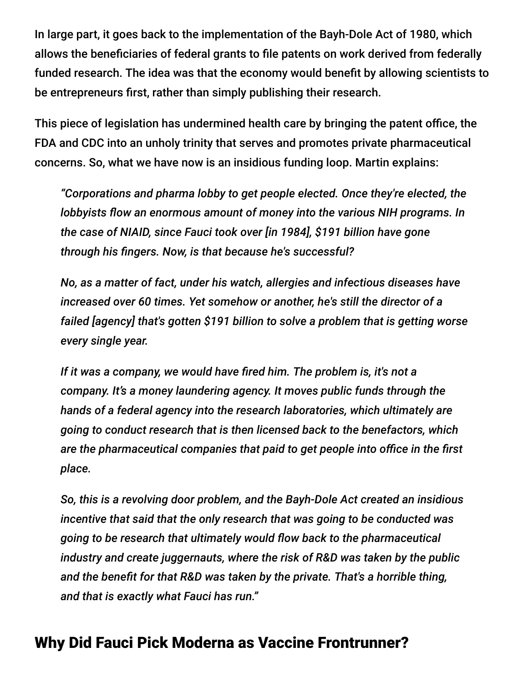In large part, it goes back to the implementation of the Bayh-Dole Act of 1980, which allows the beneficiaries of federal grants to file patents on work derived from federally funded research. The idea was that the economy would benefit by allowing scientists to be entrepreneurs first, rather than simply publishing their research.

This piece of legislation has undermined health care by bringing the patent office, the FDA and CDC into an unholy trinity that serves and promotes private pharmaceutical concerns. So, what we have now is an insidious funding loop. Martin explains:

*"Corporations and pharma lobby to get people elected. Once they're elected, the lobbyists flow an enormous amount of money into the various NIH programs. In the case of NIAID, since Fauci took over [in 1984], \$191 billion have gone through his fingers. Now, is that because he's successful?*

*No, as a matter of fact, under his watch, allergies and infectious diseases have increased over 60 times. Yet somehow or another, he's still the director of a failed [agency] that's gotten \$191 billion to solve a problem that is getting worse every single year.*

*If it was a company, we would have fired him. The problem is, it's not a company. It's a money laundering agency. It moves public funds through the hands of a federal agency into the research laboratories, which ultimately are going to conduct research that is then licensed back to the benefactors, which are the pharmaceutical companies that paid to get people into office in the first place.*

*So, this is a revolving door problem, and the Bayh-Dole Act created an insidious incentive that said that the only research that was going to be conducted was going to be research that ultimately would flow back to the pharmaceutical industry and create juggernauts, where the risk of R&D was taken by the public and the benefit for that R&D was taken by the private. That's a horrible thing, and that is exactly what Fauci has run."*

## Why Did Fauci Pick Moderna as Vaccine Frontrunner?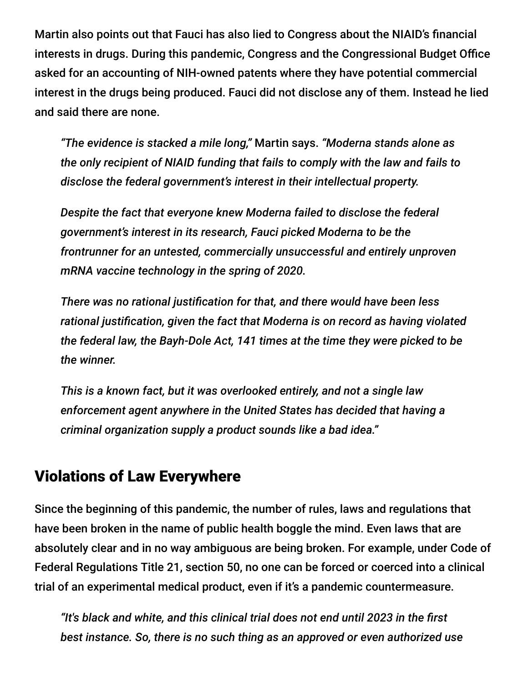Martin also points out that Fauci has also lied to Congress about the NIAID's financial interests in drugs. During this pandemic, Congress and the Congressional Budget Office asked for an accounting of NIH-owned patents where they have potential commercial interest in the drugs being produced. Fauci did not disclose any of them. Instead he lied and said there are none.

*"The evidence is stacked a mile long,"* Martin says. *"Moderna stands alone as the only recipient of NIAID funding that fails to comply with the law and fails to disclose the federal government's interest in their intellectual property.*

*Despite the fact that everyone knew Moderna failed to disclose the federal government's interest in its research, Fauci picked Moderna to be the frontrunner for an untested, commercially unsuccessful and entirely unproven mRNA vaccine technology in the spring of 2020.*

*There was no rational justification for that, and there would have been less rational justification, given the fact that Moderna is on record as having violated the federal law, the Bayh-Dole Act, 141 times at the time they were picked to be the winner.*

*This is a known fact, but it was overlooked entirely, and not a single law enforcement agent anywhere in the United States has decided that having a criminal organization supply a product sounds like a bad idea."*

#### Violations of Law Everywhere

Since the beginning of this pandemic, the number of rules, laws and regulations that have been broken in the name of public health boggle the mind. Even laws that are absolutely clear and in no way ambiguous are being broken. For example, under Code of Federal Regulations Title 21, section 50, no one can be forced or coerced into a clinical trial of an experimental medical product, even if it's a pandemic countermeasure.

*"It's black and white, and this clinical trial does not end until 2023 in the first best instance. So, there is no such thing as an approved or even authorized use*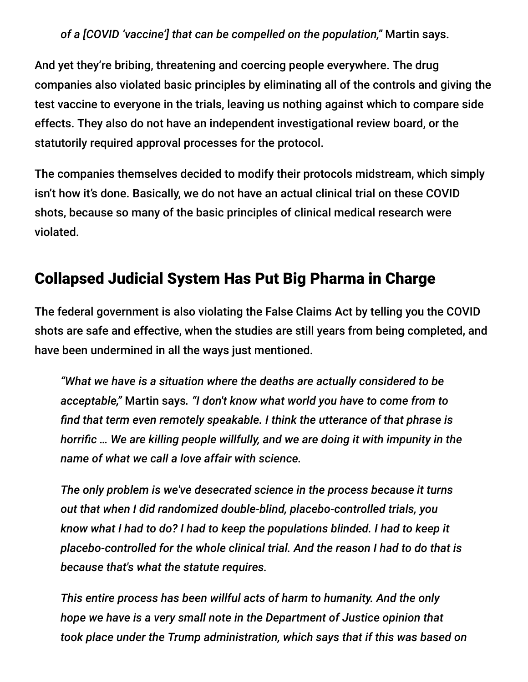*of a [COVID 'vaccine'] that can be compelled on the population,"* Martin says.

And yet they're bribing, threatening and coercing people everywhere. The drug companies also violated basic principles by eliminating all of the controls and giving the test vaccine to everyone in the trials, leaving us nothing against which to compare side effects. They also do not have an independent investigational review board, or the statutorily required approval processes for the protocol.

The companies themselves decided to modify their protocols midstream, which simply isn't how it's done. Basically, we do not have an actual clinical trial on these COVID shots, because so many of the basic principles of clinical medical research were violated.

## Collapsed Judicial System Has Put Big Pharma in Charge

The federal government is also violating the False Claims Act by telling you the COVID shots are safe and effective, when the studies are still years from being completed, and have been undermined in all the ways just mentioned.

*"What we have is a situation where the deaths are actually considered to be acceptable,"* Martin says*. "I don't know what world you have to come from to find that term even remotely speakable. I think the utterance of that phrase is horrific … We are killing people willfully, and we are doing it with impunity in the name of what we call a love affair with science.*

*The only problem is we've desecrated science in the process because it turns out that when I did randomized double-blind, placebo-controlled trials, you know what I had to do? I had to keep the populations blinded. I had to keep it placebo-controlled for the whole clinical trial. And the reason I had to do that is because that's what the statute requires.*

*This entire process has been willful acts of harm to humanity. And the only hope we have is a very small note in the Department of Justice opinion that took place under the Trump administration, which says that if this was based on*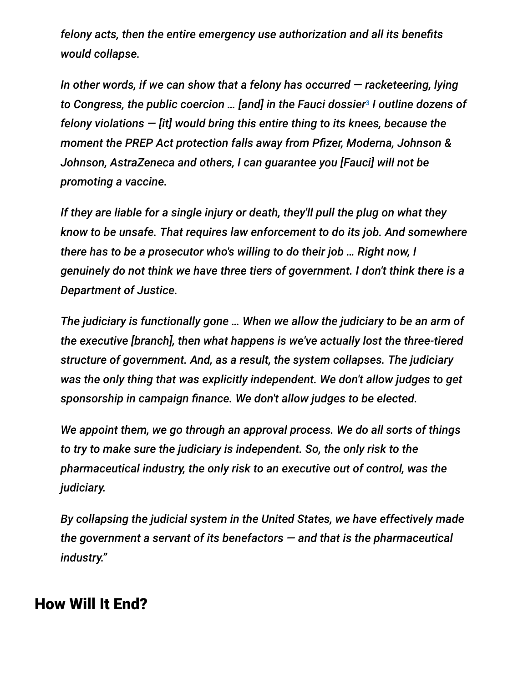*felony acts, then the entire emergency use authorization and all its benefits would collapse.*

*In other words, if we can show that a felony has occurred — racketeering, lying* to Congress, the public coercion ... [and] in the Fauci dossier<sup>s</sup> I outline dozens of *felony violations — [it] would bring this entire thing to its knees, because the moment the PREP Act protection falls away from Pfizer, Moderna, Johnson & Johnson, AstraZeneca and others, I can guarantee you [Fauci] will not be promoting a vaccine.*

*If they are liable for a single injury or death, they'll pull the plug on what they know to be unsafe. That requires law enforcement to do its job. And somewhere there has to be a prosecutor who's willing to do their job … Right now, I genuinely do not think we have three tiers of government. I don't think there is a Department of Justice.*

*The judiciary is functionally gone … When we allow the judiciary to be an arm of the executive [branch], then what happens is we've actually lost the three-tiered structure of government. And, as a result, the system collapses. The judiciary was the only thing that was explicitly independent. We don't allow judges to get sponsorship in campaign finance. We don't allow judges to be elected.*

*We appoint them, we go through an approval process. We do all sorts of things to try to make sure the judiciary is independent. So, the only risk to the pharmaceutical industry, the only risk to an executive out of control, was the judiciary.*

*By collapsing the judicial system in the United States, we have effectively made the government a servant of its benefactors — and that is the pharmaceutical industry."*

#### How Will It End?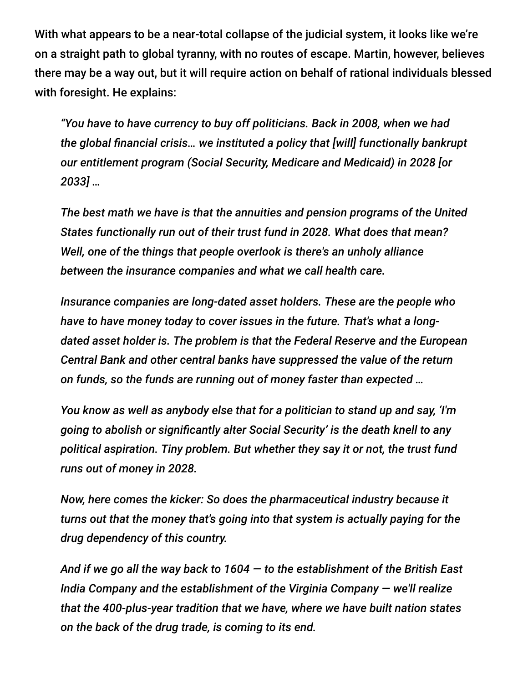With what appears to be a near-total collapse of the judicial system, it looks like we're on a straight path to global tyranny, with no routes of escape. Martin, however, believes there may be a way out, but it will require action on behalf of rational individuals blessed with foresight. He explains:

*"You have to have currency to buy off politicians. Back in 2008, when we had the global financial crisis… we instituted a policy that [will] functionally bankrupt our entitlement program (Social Security, Medicare and Medicaid) in 2028 [or 2033] …*

*The best math we have is that the annuities and pension programs of the United States functionally run out of their trust fund in 2028. What does that mean? Well, one of the things that people overlook is there's an unholy alliance between the insurance companies and what we call health care.*

*Insurance companies are long-dated asset holders. These are the people who have to have money today to cover issues in the future. That's what a longdated asset holder is. The problem is that the Federal Reserve and the European Central Bank and other central banks have suppressed the value of the return on funds, so the funds are running out of money faster than expected …*

*You know as well as anybody else that for a politician to stand up and say, 'I'm going to abolish or significantly alter Social Security' is the death knell to any political aspiration. Tiny problem. But whether they say it or not, the trust fund runs out of money in 2028.*

*Now, here comes the kicker: So does the pharmaceutical industry because it turns out that the money that's going into that system is actually paying for the drug dependency of this country.*

*And if we go all the way back to 1604 — to the establishment of the British East India Company and the establishment of the Virginia Company — we'll realize that the 400-plus-year tradition that we have, where we have built nation states on the back of the drug trade, is coming to its end.*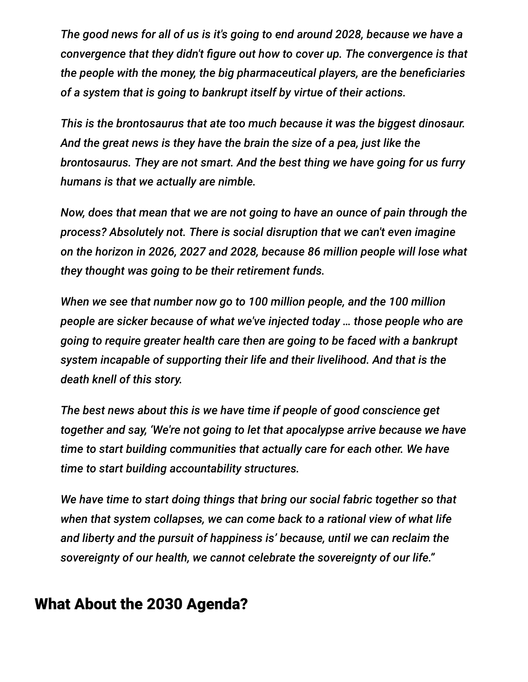*The good news for all of us is it's going to end around 2028, because we have a convergence that they didn't figure out how to cover up. The convergence is that the people with the money, the big pharmaceutical players, are the beneficiaries of a system that is going to bankrupt itself by virtue of their actions.*

*This is the brontosaurus that ate too much because it was the biggest dinosaur. And the great news is they have the brain the size of a pea, just like the brontosaurus. They are not smart. And the best thing we have going for us furry humans is that we actually are nimble.*

*Now, does that mean that we are not going to have an ounce of pain through the process? Absolutely not. There is social disruption that we can't even imagine on the horizon in 2026, 2027 and 2028, because 86 million people will lose what they thought was going to be their retirement funds.*

*When we see that number now go to 100 million people, and the 100 million people are sicker because of what we've injected today … those people who are going to require greater health care then are going to be faced with a bankrupt system incapable of supporting their life and their livelihood. And that is the death knell of this story.*

*The best news about this is we have time if people of good conscience get together and say, 'We're not going to let that apocalypse arrive because we have time to start building communities that actually care for each other. We have time to start building accountability structures.*

*We have time to start doing things that bring our social fabric together so that when that system collapses, we can come back to a rational view of what life and liberty and the pursuit of happiness is' because, until we can reclaim the sovereignty of our health, we cannot celebrate the sovereignty of our life."*

## What About the 2030 Agenda?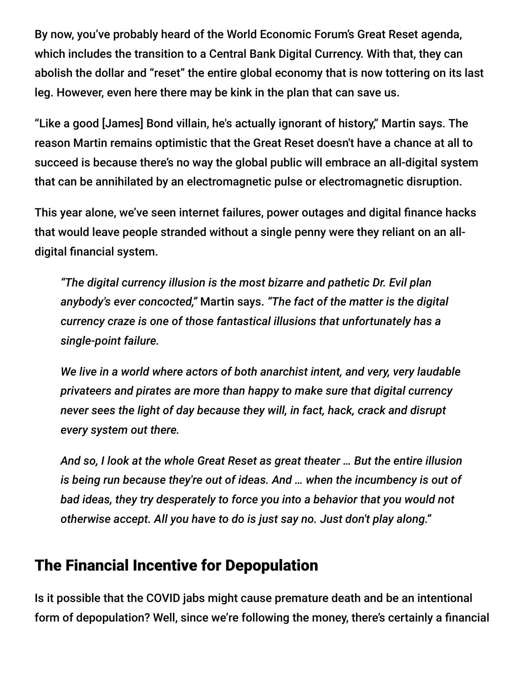By now, you've probably heard of the World Economic Forum's Great Reset agenda, which includes the transition to a Central Bank Digital Currency. With that, they can abolish the dollar and "reset" the entire global economy that is now tottering on its last leg. However, even here there may be kink in the plan that can save us.

"Like a good [James] Bond villain, he's actually ignorant of history," Martin says. The reason Martin remains optimistic that the Great Reset doesn't have a chance at all to succeed is because there's no way the global public will embrace an all-digital system that can be annihilated by an electromagnetic pulse or electromagnetic disruption.

This year alone, we've seen internet failures, power outages and digital finance hacks that would leave people stranded without a single penny were they reliant on an alldigital financial system.

*"The digital currency illusion is the most bizarre and pathetic Dr. Evil plan anybody's ever concocted,"* Martin says. *"The fact of the matter is the digital currency craze is one of those fantastical illusions that unfortunately has a single-point failure.*

*We live in a world where actors of both anarchist intent, and very, very laudable privateers and pirates are more than happy to make sure that digital currency never sees the light of day because they will, in fact, hack, crack and disrupt every system out there.*

*And so, I look at the whole Great Reset as great theater … But the entire illusion is being run because they're out of ideas. And … when the incumbency is out of bad ideas, they try desperately to force you into a behavior that you would not otherwise accept. All you have to do is just say no. Just don't play along."*

## The Financial Incentive for Depopulation

Is it possible that the COVID jabs might cause premature death and be an intentional form of depopulation? Well, since we're following the money, there's certainly a financial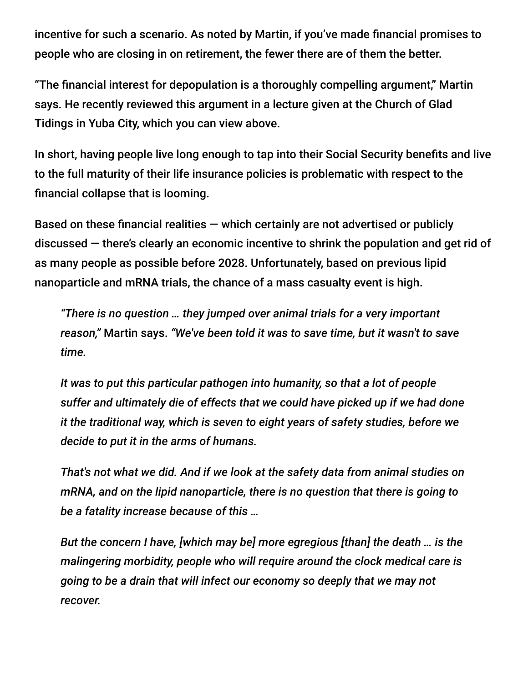incentive for such a scenario. As noted by Martin, if you've made financial promises to people who are closing in on retirement, the fewer there are of them the better.

"The financial interest for depopulation is a thoroughly compelling argument," Martin says. He recently reviewed this argument in a lecture given at the Church of Glad Tidings in Yuba City, which you can view above.

In short, having people live long enough to tap into their Social Security benefits and live to the full maturity of their life insurance policies is problematic with respect to the financial collapse that is looming.

Based on these financial realities  $-$  which certainly are not advertised or publicly discussed — there's clearly an economic incentive to shrink the population and get rid of as many people as possible before 2028. Unfortunately, based on previous lipid nanoparticle and mRNA trials, the chance of a mass casualty event is high.

*"There is no question … they jumped over animal trials for a very important reason,"* Martin says. *"We've been told it was to save time, but it wasn't to save time.*

*It was to put this particular pathogen into humanity, so that a lot of people suffer and ultimately die of effects that we could have picked up if we had done it the traditional way, which is seven to eight years of safety studies, before we decide to put it in the arms of humans.*

*That's not what we did. And if we look at the safety data from animal studies on mRNA, and on the lipid nanoparticle, there is no question that there is going to be a fatality increase because of this …*

*But the concern I have, [which may be] more egregious [than] the death … is the malingering morbidity, people who will require around the clock medical care is going to be a drain that will infect our economy so deeply that we may not recover.*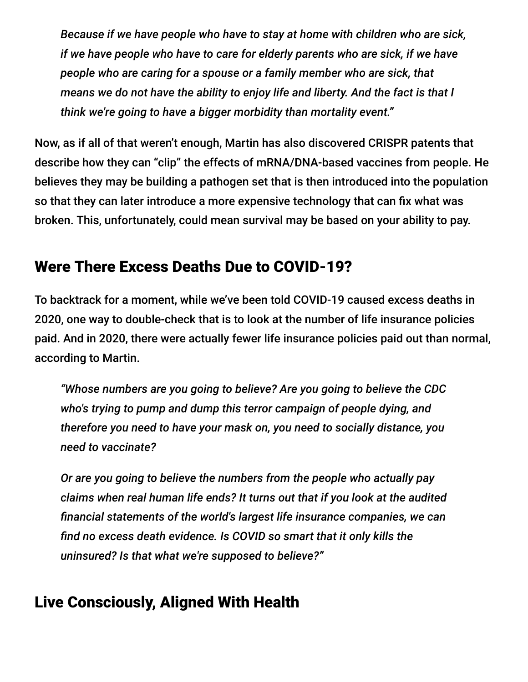*Because if we have people who have to stay at home with children who are sick, if we have people who have to care for elderly parents who are sick, if we have people who are caring for a spouse or a family member who are sick, that means we do not have the ability to enjoy life and liberty. And the fact is that I think we're going to have a bigger morbidity than mortality event."*

Now, as if all of that weren't enough, Martin has also discovered CRISPR patents that describe how they can "clip" the effects of mRNA/DNA-based vaccines from people. He believes they may be building a pathogen set that is then introduced into the population so that they can later introduce a more expensive technology that can fix what was broken. This, unfortunately, could mean survival may be based on your ability to pay.

## Were There Excess Deaths Due to COVID-19?

To backtrack for a moment, while we've been told COVID-19 caused excess deaths in 2020, one way to double-check that is to look at the number of life insurance policies paid. And in 2020, there were actually fewer life insurance policies paid out than normal, according to Martin.

*"Whose numbers are you going to believe? Are you going to believe the CDC who's trying to pump and dump this terror campaign of people dying, and therefore you need to have your mask on, you need to socially distance, you need to vaccinate?*

*Or are you going to believe the numbers from the people who actually pay claims when real human life ends? It turns out that if you look at the audited financial statements of the world's largest life insurance companies, we can find no excess death evidence. Is COVID so smart that it only kills the uninsured? Is that what we're supposed to believe?"*

# Live Consciously, Aligned With Health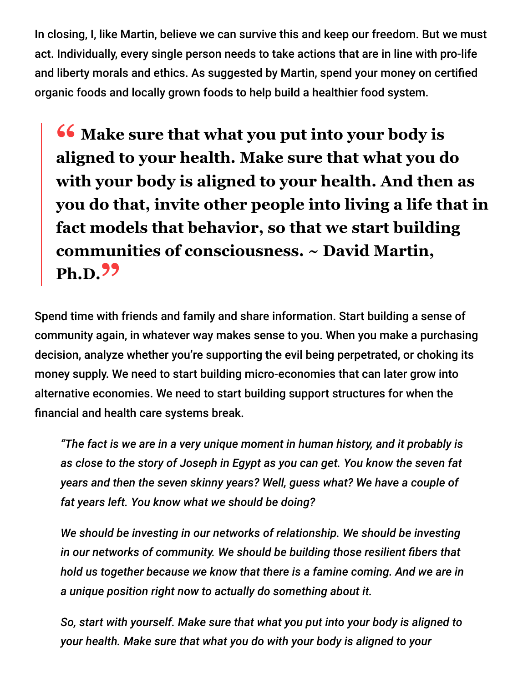In closing, I, like Martin, believe we can survive this and keep our freedom. But we must act. Individually, every single person needs to take actions that are in line with pro-life and liberty morals and ethics. As suggested by Martin, spend your money on certified organic foods and locally grown foods to help build a healthier food system.

**<sup>66</sup>** Make sure that what you put into your body is<br>aligned to your health Make sure that what you d **aligned to your health. Make sure that what you do with your body is aligned to your health. And then as you do that, invite other people into living a life that in fact models that behavior, so that we start building communities of consciousness. ~ David Martin, Ph.D."**

Spend time with friends and family and share information. Start building a sense of community again, in whatever way makes sense to you. When you make a purchasing decision, analyze whether you're supporting the evil being perpetrated, or choking its money supply. We need to start building micro-economies that can later grow into alternative economies. We need to start building support structures for when the financial and health care systems break.

*"The fact is we are in a very unique moment in human history, and it probably is as close to the story of Joseph in Egypt as you can get. You know the seven fat years and then the seven skinny years? Well, guess what? We have a couple of fat years left. You know what we should be doing?*

*We should be investing in our networks of relationship. We should be investing in our networks of community. We should be building those resilient fibers that hold us together because we know that there is a famine coming. And we are in a unique position right now to actually do something about it.*

*So, start with yourself. Make sure that what you put into your body is aligned to your health. Make sure that what you do with your body is aligned to your*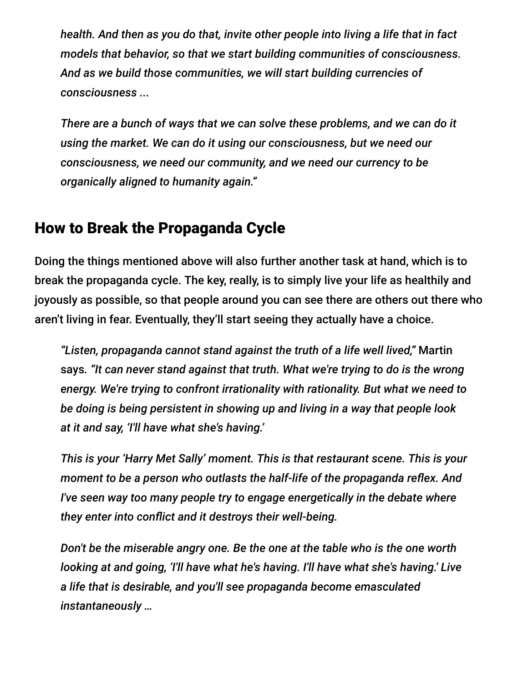*health. And then as you do that, invite other people into living a life that in fact models that behavior, so that we start building communities of consciousness. And as we build those communities, we will start building currencies of consciousness ...*

*There are a bunch of ways that we can solve these problems, and we can do it using the market. We can do it using our consciousness, but we need our consciousness, we need our community, and we need our currency to be organically aligned to humanity again."*

#### How to Break the Propaganda Cycle

Doing the things mentioned above will also further another task at hand, which is to break the propaganda cycle. The key, really, is to simply live your life as healthily and joyously as possible, so that people around you can see there are others out there who aren't living in fear. Eventually, they'll start seeing they actually have a choice.

*"Listen, propaganda cannot stand against the truth of a life well lived,"* Martin says*. "It can never stand against that truth. What we're trying to do is the wrong energy. We're trying to confront irrationality with rationality. But what we need to be doing is being persistent in showing up and living in a way that people look at it and say, 'I'll have what she's having.'*

*This is your 'Harry Met Sally' moment. This is that restaurant scene. This is your moment to be a person who outlasts the half-life of the propaganda reflex. And I've seen way too many people try to engage energetically in the debate where they enter into conflict and it destroys their well-being.*

*Don't be the miserable angry one. Be the one at the table who is the one worth looking at and going, 'I'll have what he's having. I'll have what she's having.' Live a life that is desirable, and you'll see propaganda become emasculated instantaneously …*